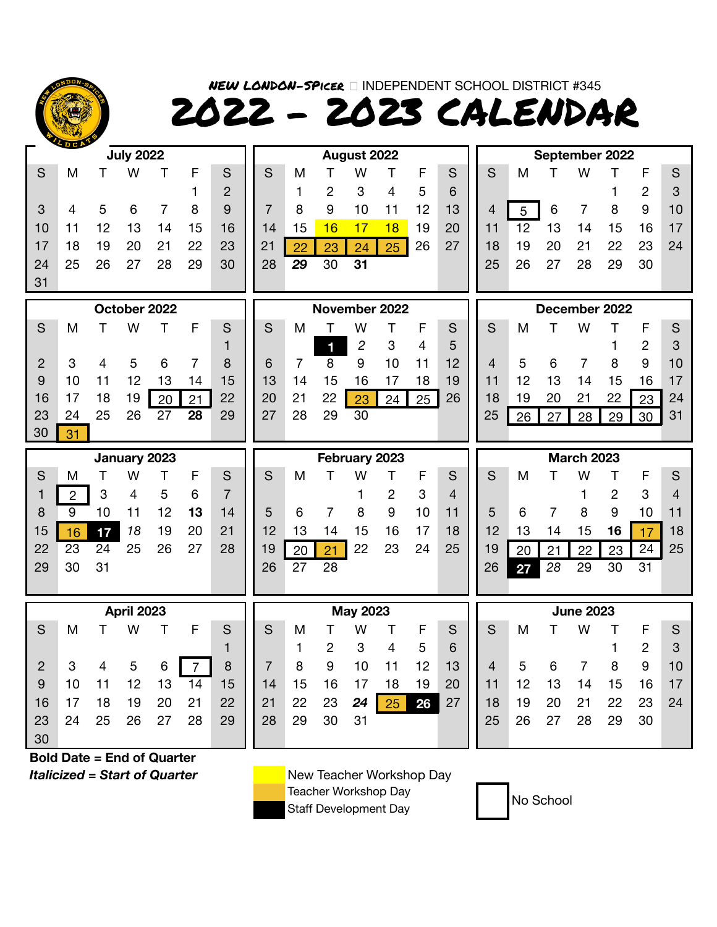

NEW LONDON-SPicer INDEPENDENT SCHOOL DISTRICT #345 2022 - 2023 CALENDAR

|    | <b>SDCA</b> |    | <b>July 2022</b> |    |    |    |    |    |    | August 2022 |    |    |    | September 2022 |    |    |    |    |                |
|----|-------------|----|------------------|----|----|----|----|----|----|-------------|----|----|----|----------------|----|----|----|----|----------------|
| S  | M           |    | W                |    |    | S  | S  | M  |    | W           |    |    | S  | S              | M  |    | W  |    | F              |
|    |             |    |                  |    |    | 2  |    |    | 2  | 3           | 4  | 5  | 6  |                |    |    |    |    | $\overline{2}$ |
| 3  | 4           | 5  | 6                |    | 8  | 9  |    | 8  | 9  | 10          |    | 12 | 13 | 4              | 5  | 6  |    | 8  | 9              |
| 10 |             | 12 | 13               | 14 | 15 | 16 | 14 | 15 | 16 |             | 18 | 19 | 20 | 11             | 12 | 13 | 14 | 15 | 16             |
| 17 | 18          | 19 | 20               | 21 | 22 | 23 | 21 | 22 | 23 | 24          | 25 | 26 | 27 | 18             | 19 | 20 | 21 | 22 | 23             |
| 24 | 25          | 26 | 27               | 28 | 29 | 30 | 28 | 29 | 30 | 31          |    |    |    | 25             | 26 | 27 | 28 | 29 | 30             |
| 31 |             |    |                  |    |    |    |    |    |    |             |    |    |    |                |    |    |    |    |                |

| October 2022   |    |    |    |                 |    |    |  |  |  |
|----------------|----|----|----|-----------------|----|----|--|--|--|
| S              | Μ  | т  | w  | т               | F  | S  |  |  |  |
|                |    |    |    |                 |    |    |  |  |  |
| $\overline{2}$ | 3  |    | 5  | 6               |    | 8  |  |  |  |
| 9              | 10 | 11 | 12 | 13              | 14 | 15 |  |  |  |
| 16             | 17 | 18 | 19 | 20              | 21 | 22 |  |  |  |
| 23             | 24 | 25 | 26 | $\overline{27}$ | 28 | 29 |  |  |  |
| 30             | 31 |    |    |                 |    |    |  |  |  |
|                |    |    |    |                 |    |    |  |  |  |



| <b>April 2023</b> |    |    |    |    |    |    |  |  |  |
|-------------------|----|----|----|----|----|----|--|--|--|
| S                 | Μ  | Т  | w  | T  | F  | S  |  |  |  |
|                   |    |    |    |    |    | 1  |  |  |  |
| $\overline{2}$    | 3  | 4  | 5  | 6  | 7  | 8  |  |  |  |
| 9                 | 10 | 11 | 12 | 13 | 14 | 15 |  |  |  |
| 16                | 17 | 18 | 19 | 20 | 21 | 22 |  |  |  |
| 23                | 24 | 25 | 26 | 27 | 28 | 29 |  |  |  |
| 30                |    |    |    |    |    |    |  |  |  |

|    |    | October 2022 |    |    |    |    |    | November 2022 |    |    |    |    |    |    | December 2022 |    |  |
|----|----|--------------|----|----|----|----|----|---------------|----|----|----|----|----|----|---------------|----|--|
|    | W  |              |    | S  | S  | M  |    |               |    |    | S  | S  | Μ  |    | W             |    |  |
|    |    |              |    |    |    |    | 1  | 2             | 3  |    | 5  |    |    |    |               |    |  |
| 4  |    |              |    | 8  | 6  |    | 8  | 9             |    |    | 12 |    | 5  |    |               | 8  |  |
|    | 12 |              | 14 | 15 | 13 | 14 |    |               |    | 18 | 19 |    | 12 |    |               | 15 |  |
| 18 | 19 | 20           |    | 22 | 20 | 21 | 22 | 23            | 24 | 25 | 26 | 18 | 19 |    |               | 22 |  |
| 25 | 26 | -27          | 28 | 29 | 27 | 28 | 29 | 30            |    |    |    | 25 | 2Q | ດ7 | 28            | 29 |  |
|    |    |              |    |    |    |    |    |               |    |    |    |    |    |    |               |    |  |

|    |    |             | February 2023 |    |    |    |
|----|----|-------------|---------------|----|----|----|
| S  | м  |             | w             |    | F  | S  |
|    |    |             |               | 2  | 3  | 4  |
| 5  | 6  |             | 8             | 9  | 10 | 11 |
| 12 | 13 | 14          | 15            | 16 | 17 | 18 |
| 19 |    | 20 21 22 23 |               |    | 24 | 25 |
| 26 | 27 | 28          |               |    |    |    |
|    |    |             |               |    |    |    |

|                |    |    | <b>April 2023</b> |    |    |    |    |    |    | <b>May 2023</b> |    |    |    |    |    |    | <b>June 2023</b> |    |    |
|----------------|----|----|-------------------|----|----|----|----|----|----|-----------------|----|----|----|----|----|----|------------------|----|----|
| S              | M  |    | W                 |    |    | S  | S  | M  |    | W               |    |    | S  | S  | M  |    | W                |    |    |
|                |    |    |                   |    |    |    |    |    | 2  |                 |    | 5  | 6  |    |    |    |                  |    | 2  |
| 2 <sup>1</sup> | 3  |    | 5                 | 6  |    | 8  |    | 8  | 9  | 10              |    | 12 | 13 | 4  | 5  | 6  |                  | 8  | -9 |
| 9              | 10 |    | 12                | 13 | 14 | 15 | 14 | 15 | 16 |                 | 18 | 19 | 20 | 11 | 12 | 13 | 14               | 15 | 16 |
| 16             | 17 | 18 | 19                | 20 | 21 | 22 | 21 | 22 | 23 | 24              | 25 | 26 | 27 | 18 | 19 | 20 | 21               | 22 | 23 |
| 23             | 24 | 25 | 26                | 27 | 28 | 29 | 28 | 29 | 30 | 31              |    |    |    | 25 | 26 | 27 | 28               | 29 | 30 |
| 30             |    |    |                   |    |    |    |    |    |    |                 |    |    |    |    |    |    |                  |    |    |

**July 2022 August 2022 September 2022** S M T W T F S || S M T W T F S || S M T W T F S 1 2 1 2 3 4 5 6 1 2 3 3 4 5 6 7 8 9 7 8 9 10 11 12 13 4 5 6 7 8 9 10 10 11 12 13 14 15 16 || 14 15 <mark>16 17 18</mark> 19 20 || 11 12 13 14 15 16 17 17 18 19 20 21 22 23 ||21 <mark>22 23 24 25</mark> 26 27 ||18 19 20 21 22 23 24

|     |                          |    |    | October 2022 |    |    |    |     |    |    | November 2022 |    |    |    |    | December 2022 |    |    |    |
|-----|--------------------------|----|----|--------------|----|----|----|-----|----|----|---------------|----|----|----|----|---------------|----|----|----|
| S   | M                        |    |    |              |    | S  | S  | M   |    |    |               |    | S  | S  | M  |               |    |    |    |
|     |                          |    |    |              |    |    |    |     |    | ႒  | З             |    | 5  |    |    |               |    |    |    |
| 2   |                          |    |    |              |    | 8  | 6  |     | 8  | 9  |               |    | 12 | 4  | ა  |               |    | 9  | 10 |
| 9   |                          |    |    |              | 14 | 15 | 13 | , 4 | ხ  | 6  |               | 18 | 19 |    | 12 |               | 15 | 16 | 17 |
| 16  |                          |    | 19 | 20           | 21 | 22 | 20 | 21  | 22 | 23 | 24            | 25 | 26 | 18 | 19 |               | 22 | 23 | 24 |
| 23  | 24                       | 25 | 26 |              | 28 | 29 | 27 | 28  | 29 | 30 |               |    |    | 25 | 26 | 28            | 29 | 30 | 31 |
| nn. | <b>Contract Contract</b> |    |    |              |    |    |    |     |    |    |               |    |    |    |    |               |    |    |    |

|                 |                 |    | January 2023 |    |    |     |    |    |    | February 2023 |    |    |    |    |    | <b>March 2023</b> |    |    |    |    |
|-----------------|-----------------|----|--------------|----|----|-----|----|----|----|---------------|----|----|----|----|----|-------------------|----|----|----|----|
| S               | M               |    |              |    |    |     | S  | M  |    |               |    |    | S  | S  | M  |                   |    |    |    |    |
|                 |                 | 3  |              | G  |    |     |    |    |    |               |    | 3  | 4  |    |    |                   |    |    | 3  |    |
| 8               | 9               | 10 |              |    | 13 | 14. | 5  | 6  |    |               | 9  | 10 |    | 5  |    |                   |    | 9  | 10 |    |
| 15              | 16 <sup>1</sup> | 17 | 18           | 19 | 20 | 21  | 12 | 13 |    | ა             |    |    | 18 | 12 | 13 |                   | 15 | 16 |    | 18 |
| 22 <sub>2</sub> | 23              | 24 | 25           | 26 | 27 | 28  | 19 | 20 |    | 22            | 23 | 24 | 25 | 19 | 20 |                   | つつ | 23 | 24 | 25 |
| 29              | 30              | 31 |              |    |    |     | 26 | 27 | 28 |               |    |    |    | 26 | 27 | 28                | 29 | 30 | 31 |    |
|                 |                 |    |              |    |    |     |    |    |    |               |    |    |    |    |    |                   |    |    |    |    |

|             |    |    | <b>April 2023</b> |    |    |    |    |    |    | <b>May 2023</b> |    |    |    |    |    | <b>June 2023</b> |    |    |    |    |
|-------------|----|----|-------------------|----|----|----|----|----|----|-----------------|----|----|----|----|----|------------------|----|----|----|----|
| S           | M  |    | W                 |    |    | S  | S  | Μ  |    | W               |    |    | S  | S  | M  |                  | W  |    |    | S  |
|             |    |    |                   |    |    |    |    |    |    |                 |    | 5  | 6  |    |    |                  |    |    |    | 3  |
| $2^{\circ}$ | 3  |    | 5                 | 6  |    | 8  |    | 8  | 9  |                 |    | 12 | 13 |    | 5  |                  |    | 8  | 9  | 10 |
| 9           | 10 |    |                   | 13 | 14 | 15 | 14 | 15 | 16 |                 | 18 | 19 | 20 | 11 | 12 | 13               | 14 | 15 | 16 |    |
| 16          |    |    | 19                | 20 | 21 | 22 | 21 | 22 | 23 | 24              | 25 | 26 | 27 | 18 | 19 | 20               | 21 | 22 | 23 | 24 |
| 23          | 24 | 25 | 26                | 27 | 28 | 29 | 28 | 29 | 30 | 31              |    |    |    | 25 | 26 | -27              | 28 | 29 | 30 |    |
| 30          |    |    |                   |    |    |    |    |    |    |                 |    |    |    |    |    |                  |    |    |    |    |

**Bold Date = End of Quarter** *Italicized = Start of Quarter* New Teacher Workshop Day

Teacher Workshop Day<br>Staff Development Day